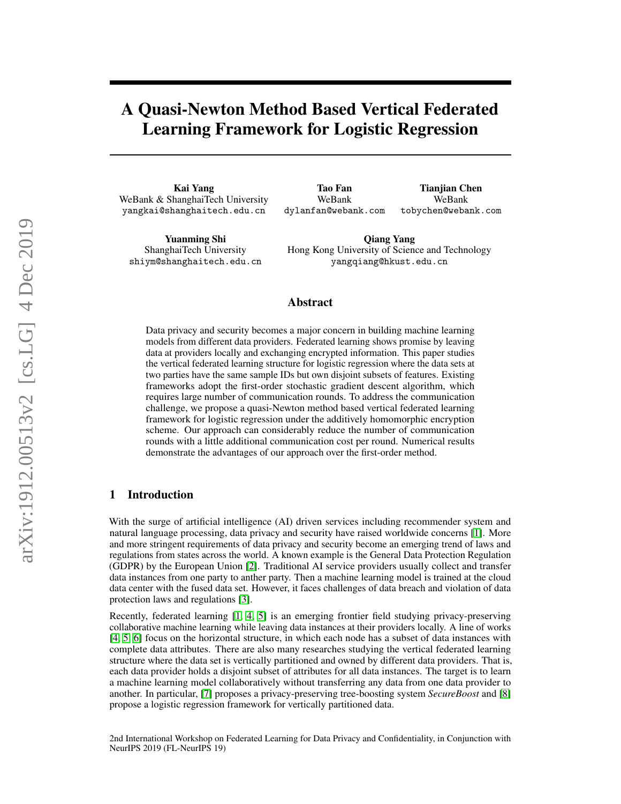# A Quasi-Newton Method Based Vertical Federated Learning Framework for Logistic Regression

Kai Yang WeBank & ShanghaiTech University yangkai@shanghaitech.edu.cn

Yuanming Shi ShanghaiTech University shiym@shanghaitech.edu.cn

Tao Fan WeBank dylanfan@webank.com Tianjian Chen WeBank tobychen@webank.com

Qiang Yang Hong Kong University of Science and Technology yangqiang@hkust.edu.cn

#### Abstract

Data privacy and security becomes a major concern in building machine learning models from different data providers. Federated learning shows promise by leaving data at providers locally and exchanging encrypted information. This paper studies the vertical federated learning structure for logistic regression where the data sets at two parties have the same sample IDs but own disjoint subsets of features. Existing frameworks adopt the first-order stochastic gradient descent algorithm, which requires large number of communication rounds. To address the communication challenge, we propose a quasi-Newton method based vertical federated learning framework for logistic regression under the additively homomorphic encryption scheme. Our approach can considerably reduce the number of communication rounds with a little additional communication cost per round. Numerical results demonstrate the advantages of our approach over the first-order method.

#### 1 Introduction

With the surge of artificial intelligence (AI) driven services including recommender system and natural language processing, data privacy and security have raised worldwide concerns [\[1\]](#page-4-0). More and more stringent requirements of data privacy and security become an emerging trend of laws and regulations from states across the world. A known example is the General Data Protection Regulation (GDPR) by the European Union [\[2\]](#page-4-1). Traditional AI service providers usually collect and transfer data instances from one party to anther party. Then a machine learning model is trained at the cloud data center with the fused data set. However, it faces challenges of data breach and violation of data protection laws and regulations [\[3\]](#page-4-2).

Recently, federated learning [\[1,](#page-4-0) [4,](#page-4-3) [5\]](#page-4-4) is an emerging frontier field studying privacy-preserving collaborative machine learning while leaving data instances at their providers locally. A line of works [\[4,](#page-4-3) [5,](#page-4-4) [6\]](#page-4-5) focus on the horizontal structure, in which each node has a subset of data instances with complete data attributes. There are also many researches studying the vertical federated learning structure where the data set is vertically partitioned and owned by different data providers. That is, each data provider holds a disjoint subset of attributes for all data instances. The target is to learn a machine learning model collaboratively without transferring any data from one data provider to another. In particular, [\[7\]](#page-4-6) proposes a privacy-preserving tree-boosting system *SecureBoost* and [\[8\]](#page-4-7) propose a logistic regression framework for vertically partitioned data.

2nd International Workshop on Federated Learning for Data Privacy and Confidentiality, in Conjunction with NeurIPS 2019 (FL-NeurIPS 19)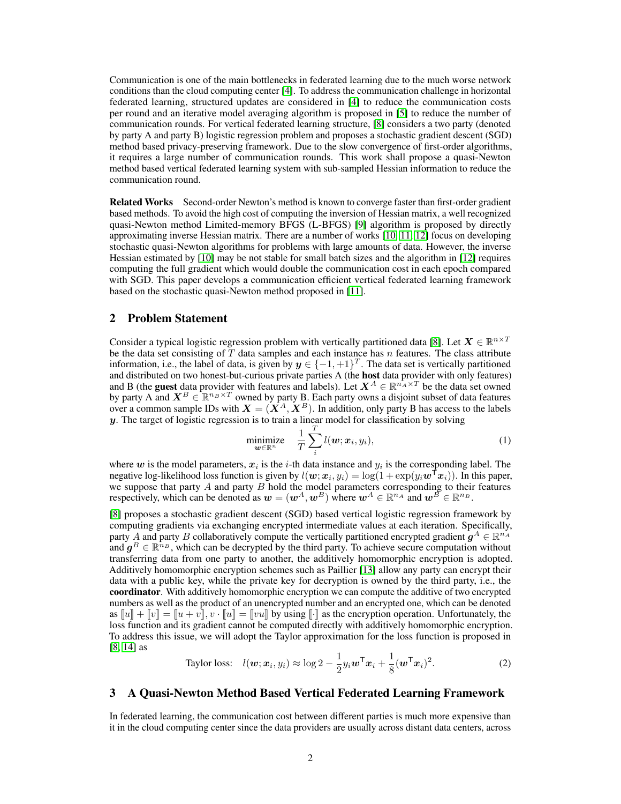Communication is one of the main bottlenecks in federated learning due to the much worse network conditions than the cloud computing center [\[4\]](#page-4-3). To address the communication challenge in horizontal federated learning, structured updates are considered in [\[4\]](#page-4-3) to reduce the communication costs per round and an iterative model averaging algorithm is proposed in [\[5\]](#page-4-4) to reduce the number of communication rounds. For vertical federated learning structure, [\[8\]](#page-4-7) considers a two party (denoted by party A and party B) logistic regression problem and proposes a stochastic gradient descent (SGD) method based privacy-preserving framework. Due to the slow convergence of first-order algorithms, it requires a large number of communication rounds. This work shall propose a quasi-Newton method based vertical federated learning system with sub-sampled Hessian information to reduce the communication round.

Related Works Second-order Newton's method is known to converge faster than first-order gradient based methods. To avoid the high cost of computing the inversion of Hessian matrix, a well recognized quasi-Newton method Limited-memory BFGS (L-BFGS) [\[9\]](#page-4-8) algorithm is proposed by directly approximating inverse Hessian matrix. There are a number of works [\[10,](#page-4-9) [11,](#page-4-10) [12\]](#page-4-11) focus on developing stochastic quasi-Newton algorithms for problems with large amounts of data. However, the inverse Hessian estimated by [\[10\]](#page-4-9) may be not stable for small batch sizes and the algorithm in [\[12\]](#page-4-11) requires computing the full gradient which would double the communication cost in each epoch compared with SGD. This paper develops a communication efficient vertical federated learning framework based on the stochastic quasi-Newton method proposed in [\[11\]](#page-4-10).

#### 2 Problem Statement

Consider a typical logistic regression problem with vertically partitioned data [\[8\]](#page-4-7). Let  $X \in \mathbb{R}^{n \times T}$ be the data set consisting of T data samples and each instance has n features. The class attribute information, i.e., the label of data, is given by  $y \in \{-1, +1\}^T$ . The data set is vertically partitioned and distributed on two honest-but-curious private parties A (the host data provider with only features) and B (the guest data provider with features and labels). Let  $X^A \in \mathbb{R}^{n_A^A \times T}$  be the data set owned by party A and  $X^B \in \mathbb{R}^{n_B \times T}$  owned by party B. Each party owns a disjoint subset of data features over a common sample IDs with  $X = (\dot{X}^A, \dot{X}^B)$ . In addition, only party B has access to the labels  $y$ . The target of logistic regression is to train a linear model for classification by solving

$$
\underset{\boldsymbol{w}\in\mathbb{R}^n}{\text{minimize}} \quad \frac{1}{T}\sum_{i}^{T}l(\boldsymbol{w};\boldsymbol{x}_i,y_i),\tag{1}
$$

where  $w$  is the model parameters,  $x_i$  is the *i*-th data instance and  $y_i$  is the corresponding label. The negative log-likelihood loss function is given by  $l(w; x_i, y_i) = \log(1 + \exp(y_i \boldsymbol{w}^\top x_i))$ . In this paper, we suppose that party  $A$  and party  $B$  hold the model parameters corresponding to their features respectively, which can be denoted as  $w = (w^A, w^B)$  where  $w^A \in \mathbb{R}^{n_A}$  and  $w^B \in \mathbb{R}^{n_B}$ .

[\[8\]](#page-4-7) proposes a stochastic gradient descent (SGD) based vertical logistic regression framework by computing gradients via exchanging encrypted intermediate values at each iteration. Specifically, party A and party B collaboratively compute the vertically partitioned encrypted gradient  $g^A \in \mathbb{R}^{n_A}$ and  $g^B \in \mathbb{R}^{n_B}$ , which can be decrypted by the third party. To achieve secure computation without transferring data from one party to another, the additively homomorphic encryption is adopted. Additively homomorphic encryption schemes such as Paillier [\[13\]](#page-4-12) allow any party can encrypt their data with a public key, while the private key for decryption is owned by the third party, i.e., the coordinator. With additively homomorphic encryption we can compute the additive of two encrypted numbers as well as the product of an unencrypted number and an encrypted one, which can be denoted as  $[u] + [v] = [u + v]$ ,  $v \cdot [u] = [vu]$  by using  $[\cdot]$  as the encryption operation. Unfortunately, the loss function and its gradient cannot be computed directly with additively homomorphic encryption. To address this issue, we will adopt the Taylor approximation for the loss function is proposed in [\[8,](#page-4-7) [14\]](#page-4-13) as

<span id="page-1-0"></span>Taylor loss: 
$$
l(\boldsymbol{w}; \boldsymbol{x}_i, y_i) \approx \log 2 - \frac{1}{2} y_i \boldsymbol{w}^\mathsf{T} \boldsymbol{x}_i + \frac{1}{8} (\boldsymbol{w}^\mathsf{T} \boldsymbol{x}_i)^2.
$$
 (2)

#### 3 A Quasi-Newton Method Based Vertical Federated Learning Framework

In federated learning, the communication cost between different parties is much more expensive than it in the cloud computing center since the data providers are usually across distant data centers, across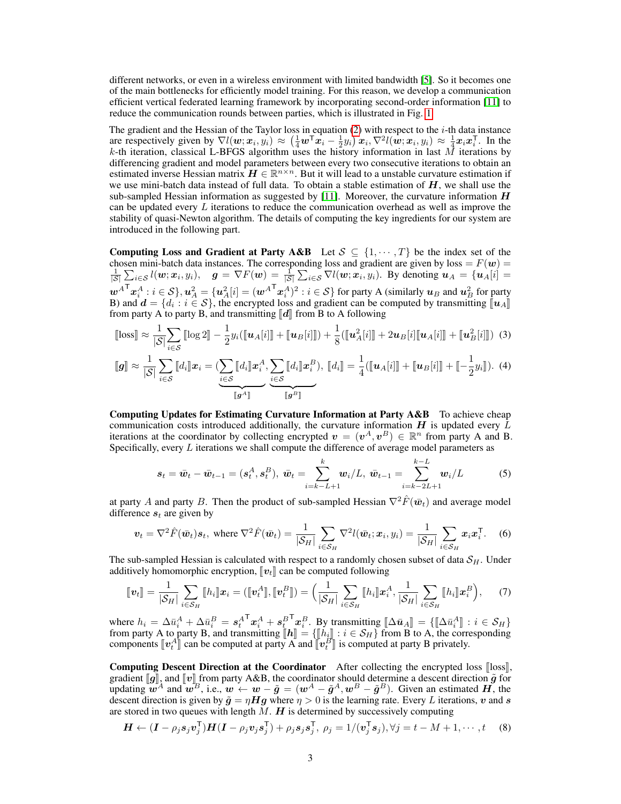different networks, or even in a wireless environment with limited bandwidth [\[5\]](#page-4-4). So it becomes one of the main bottlenecks for efficiently model training. For this reason, we develop a communication efficient vertical federated learning framework by incorporating second-order information [\[11\]](#page-4-10) to reduce the communication rounds between parties, which is illustrated in Fig. [1.](#page-3-0)

The gradient and the Hessian of the Taylor loss in equation  $(2)$  with respect to the *i*-th data instance are respectively given by  $\nabla l(w; x_i, y_i) \approx (\frac{1}{4}w^{\mathsf{T}} x_i - \frac{1}{2}y_i)x_i, \nabla^2 l(w; x_i, y_i) \approx \frac{1}{4}x_i x_i^{\mathsf{T}}$ . In the k-th iteration, classical L-BFGS algorithm uses the history information in last  $\vec{M}$  iterations by differencing gradient and model parameters between every two consecutive iterations to obtain an estimated inverse Hessian matrix  $H \in \mathbb{R}^{n \times n}$ . But it will lead to a unstable curvature estimation if we use mini-batch data instead of full data. To obtain a stable estimation of  $H$ , we shall use the sub-sampled Hessian information as suggested by [\[11\]](#page-4-10). Moreover, the curvature information  $H$ can be updated every  $L$  iterations to reduce the communication overhead as well as improve the stability of quasi-Newton algorithm. The details of computing the key ingredients for our system are introduced in the following part.

Computing Loss and Gradient at Party A&B Let  $S \subseteq \{1, \dots, T\}$  be the index set of the chosen mini-batch data instances. The corresponding loss and gradient are given by loss =  $F(w)$  =  $\frac{1}{|S|}\sum_{i\in S}l(\boldsymbol{w};\boldsymbol{x}_i,y_i),\quad \boldsymbol{g}=\nabla F(\boldsymbol{w})=\frac{1}{|S|}\sum_{i\in S}\nabla l(\boldsymbol{w};\boldsymbol{x}_i,y_i).$  By denoting  $\boldsymbol{u}_A=\{\boldsymbol{u}_A[i]=\}$  $\bm{w}^A{}^\mathsf{T}\bm{x}_i^A$  :  $i\in\mathcal{S}\}, \bm{u}^2_A = \{\bm{u}^2_A[i] = (\bm{w}^A{}^\mathsf{T}\bm{x}_i^A)^2: i\in\mathcal{S}\}$  for party A (similarly  $\bm{u}_B$  and  $\bm{u}^2_B$  for party B) and  $d = \{d_i : i \in S\}$ , the encrypted loss and gradient can be computed by transmitting  $[\![u_A]\!]$ <br>from party A to party B, and transmitting  $[\![d]\!]$  from B to A following from party A to party B, and transmitting  $\llbracket d \rrbracket$  from B to A following

$$
[\![\text{loss}]\!] \approx \frac{1}{|S|} \sum_{i \in S} [\![\log 2]\!] - \frac{1}{2} y_i (\![\![\![\boldsymbol{u}_A[i]\!] \!] + [\![\boldsymbol{u}_B[i]\!] \!] ) + \frac{1}{8} (\![\![\![\boldsymbol{u}_A^2[i]\!] \!] + 2 \boldsymbol{u}_B[i] [\![\boldsymbol{u}_A[i]\!] \!] + [\![\boldsymbol{u}_B^2[i]\!] \!]) \tag{3}
$$

$$
\llbracket g \rrbracket \approx \frac{1}{|\mathcal{S}|} \sum_{i \in \mathcal{S}} \llbracket d_i \rrbracket \boldsymbol{x}_i = \underbrace{\left(\sum_{i \in \mathcal{S}} \llbracket d_i \rrbracket \boldsymbol{x}_i^A, \sum_{i \in \mathcal{S}} \llbracket d_i \rrbracket \boldsymbol{x}_i^B\right)}_{\llbracket g^A \rrbracket}, \llbracket d_i \rrbracket = \frac{1}{4} (\llbracket \boldsymbol{u}_A[i] \rrbracket + \llbracket \boldsymbol{u}_B[i] \rrbracket + \llbracket -\frac{1}{2} y_i \rrbracket). (4)
$$

Computing Updates for Estimating Curvature Information at Party A&B To achieve cheap communication costs introduced additionally, the curvature information  $H$  is updated every L iterations at the coordinator by collecting encrypted  $v = (v^A, v^B) \in \mathbb{R}^n$  from party A and B. Specifically, every L iterations we shall compute the difference of average model parameters as

$$
s_t = \bar{w}_t - \bar{w}_{t-1} = (s_t^A, s_t^B), \ \bar{w}_t = \sum_{i=k-L+1}^k w_i / L, \ \bar{w}_{t-1} = \sum_{i=k-2L+1}^{k-L} w_i / L \tag{5}
$$

at party A and party B. Then the product of sub-sampled Hessian  $\nabla^2 \hat{F}(\bar{w}_t)$  and average model difference  $s_t$  are given by

$$
\boldsymbol{v}_t = \nabla^2 \hat{F}(\bar{\boldsymbol{w}}_t) \boldsymbol{s}_t, \text{ where } \nabla^2 \hat{F}(\bar{\boldsymbol{w}}_t) = \frac{1}{|\mathcal{S}_H|} \sum_{i \in \mathcal{S}_H} \nabla^2 l(\bar{\boldsymbol{w}}_t; \boldsymbol{x}_i, y_i) = \frac{1}{|\mathcal{S}_H|} \sum_{i \in \mathcal{S}_H} \boldsymbol{x}_i \boldsymbol{x}_i^{\mathsf{T}}. \tag{6}
$$

The sub-sampled Hessian is calculated with respect to a randomly chosen subset of data  $S_H$ . Under additively homomorphic encryption,  $\llbracket v_t \rrbracket$  can be computed following

$$
\llbracket \boldsymbol{v}_t \rrbracket = \frac{1}{|\mathcal{S}_H|} \sum_{i \in \mathcal{S}_H} \llbracket h_i \rrbracket \boldsymbol{x}_i = (\llbracket \boldsymbol{v}_t^A \rrbracket, \llbracket \boldsymbol{v}_t^B \rrbracket) = \Big( \frac{1}{|\mathcal{S}_H|} \sum_{i \in \mathcal{S}_H} \llbracket h_i \rrbracket \boldsymbol{x}_i^A, \frac{1}{|\mathcal{S}_H|} \sum_{i \in \mathcal{S}_H} \llbracket h_i \rrbracket \boldsymbol{x}_i^B \Big), \qquad (7)
$$

where  $h_i = \Delta \bar{u}_i^A + \Delta \bar{u}_i^B = s_t^A$  $^{\mathsf{T}}\boldsymbol{x}_{i}^{A}+\boldsymbol{s}_{t_{\!}\!}^{B}$  $\begin{bmatrix} \nabla x_i^B. & \text{By transmitting } [\Delta \bar{u}_A] = \{ [\Delta \bar{u}_i^A] : i \in S_H \} \\ \nabla \bar{u} = f | h \cdot \bar{u} : i \in S_H \} \text{ from B to A, the corresponding$ from party A to party B, and transmitting  $[\![\boldsymbol{h}]\!] = \{[\![h_i]\!] : i \in \mathcal{S}_H\}$  from B to A, the corresponding components  $[\![\boldsymbol{u}^A]\!]$  can be computed at party A and  $[\![\boldsymbol{u}^B]\!]$  is computed at party B privately components  $[\![v_t^A]\!]$  can be computed at party  $\overline{A}$  and  $[\![v_t^B]\!]$  is computed at party B privately.

Computing Descent Direction at the Coordinator After collecting the encrypted loss loss. gradient  $[\![g]\!]$ , and  $[\![v]\!]$  from party A&B, the coordinator should determine a descent direction  $\tilde{g}$  for updating  $\vec{w}^A$  and  $\vec{w}^B$ , i.e.,  $\vec{w} \leftarrow \vec{w} - \tilde{g} = (\vec{w}^A - \tilde{g}^A, \vec{w}^B - \tilde{g}^B)$ . Given an estimated  $\vec{H}$ , the descent direction is given by  $\tilde{g} = \eta Hg$  where  $\eta > 0$  is the learning rate. Every L iterations, v and s are stored in two queues with length  $M$ .  $H$  is determined by successively computing

$$
\boldsymbol{H} \leftarrow (\boldsymbol{I} - \rho_j \boldsymbol{s}_j \boldsymbol{v}_j^{\mathsf{T}}) \boldsymbol{H} (\boldsymbol{I} - \rho_j \boldsymbol{v}_j \boldsymbol{s}_j^{\mathsf{T}}) + \rho_j \boldsymbol{s}_j \boldsymbol{s}_j^{\mathsf{T}}, \ \rho_j = 1/(\boldsymbol{v}_j^{\mathsf{T}} \boldsymbol{s}_j), \forall j = t - M + 1, \cdots, t \tag{8}
$$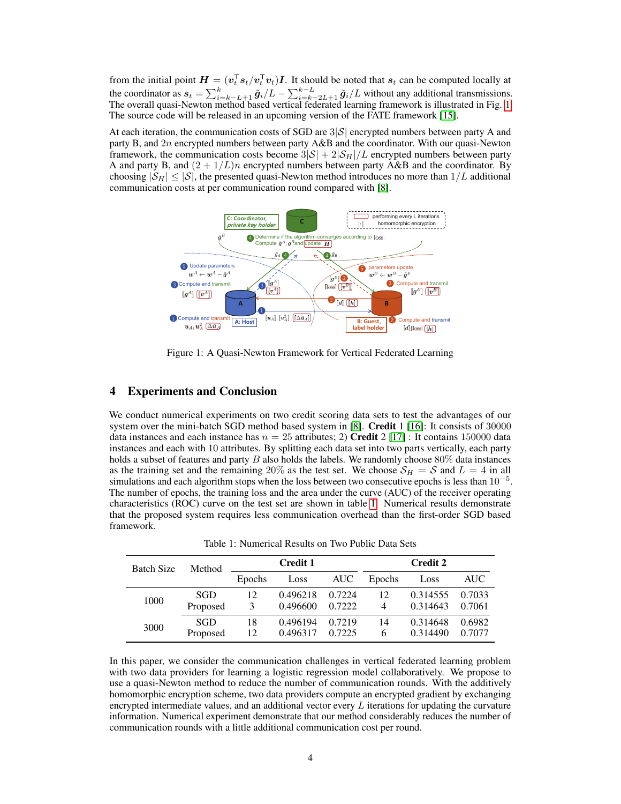from the initial point  $H = (v_t^T s_t/v_t^T v_t)I$ . It should be noted that  $s_t$  can be computed locally at the coordinator as  $s_t = \sum_{i=k-L+1}^{k} \tilde{g}_i/L - \sum_{i=k-2L+1}^{k-L} \tilde{g}_i/L$  without any additional transmissions. The overall quasi-Newton method based vertical federated learning framework is illustrated in Fig. [1.](#page-3-0) The source code will be released in an upcoming version of the FATE framework [\[15\]](#page-4-14).

At each iteration, the communication costs of SGD are  $3|\mathcal{S}|$  encrypted numbers between party A and party B, and 2n encrypted numbers between party A&B and the coordinator. With our quasi-Newton framework, the communication costs become  $3|\mathcal{S}| + 2|\mathcal{S}_H|/L$  encrypted numbers between party A and party B, and  $(2 + 1/L)n$  encrypted numbers between party A&B and the coordinator. By choosing  $|S_H| \leq |S|$ , the presented quasi-Newton method introduces no more than  $1/L$  additional communication costs at per communication round compared with [\[8\]](#page-4-7).



<span id="page-3-0"></span>Figure 1: A Quasi-Newton Framework for Vertical Federated Learning

#### 4 Experiments and Conclusion

We conduct numerical experiments on two credit scoring data sets to test the advantages of our system over the mini-batch SGD method based system in [\[8\]](#page-4-7). Credit 1 [\[16\]](#page-4-15): It consists of 30000 data instances and each instance has  $n = 25$  attributes; 2) Credit 2 [\[17\]](#page-4-16) : It contains 150000 data instances and each with 10 attributes. By splitting each data set into two parts vertically, each party holds a subset of features and party  $B$  also holds the labels. We randomly choose  $80\%$  data instances as the training set and the remaining 20% as the test set. We choose  $S_H = S$  and  $L = 4$  in all simulations and each algorithm stops when the loss between two consecutive epochs is less than  $10^{-5}$ . The number of epochs, the training loss and the area under the curve (AUC) of the receiver operating characteristics (ROC) curve on the test set are shown in table [1.](#page-3-1) Numerical results demonstrate that the proposed system requires less communication overhead than the first-order SGD based framework.

| <b>Batch Size</b> | Method     | <b>Credit 1</b> |          |        | <b>Credit 2</b> |          |        |
|-------------------|------------|-----------------|----------|--------|-----------------|----------|--------|
|                   |            | Epochs          | Loss     | AUC    | Epochs          | Loss     | AUC-   |
| 1000              | SGD        | 12              | 0.496218 | 0.7224 | 12              | 0.314555 | 0.7033 |
|                   | Proposed   | 3               | 0.496600 | 0.7222 | 4               | 0.314643 | 0.7061 |
| 3000              | <b>SGD</b> | 18              | 0.496194 | 0.7219 | 14              | 0.314648 | 0.6982 |
|                   | Proposed   | 12              | 0.496317 | 0.7225 | 6               | 0.314490 | 0.7077 |

<span id="page-3-1"></span>Table 1: Numerical Results on Two Public Data Sets

In this paper, we consider the communication challenges in vertical federated learning problem with two data providers for learning a logistic regression model collaboratively. We propose to use a quasi-Newton method to reduce the number of communication rounds. With the additively homomorphic encryption scheme, two data providers compute an encrypted gradient by exchanging encrypted intermediate values, and an additional vector every  $L$  iterations for updating the curvature information. Numerical experiment demonstrate that our method considerably reduces the number of communication rounds with a little additional communication cost per round.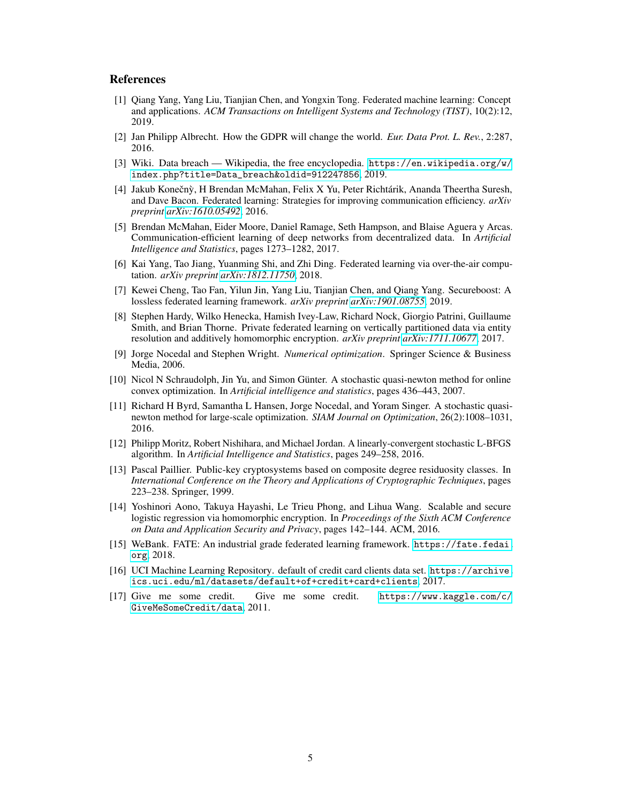### **References**

- <span id="page-4-0"></span>[1] Qiang Yang, Yang Liu, Tianjian Chen, and Yongxin Tong. Federated machine learning: Concept and applications. *ACM Transactions on Intelligent Systems and Technology (TIST)*, 10(2):12, 2019.
- <span id="page-4-1"></span>[2] Jan Philipp Albrecht. How the GDPR will change the world. *Eur. Data Prot. L. Rev.*, 2:287, 2016.
- <span id="page-4-2"></span>[3] Wiki. Data breach — Wikipedia, the free encyclopedia. [https://en.wikipedia.org/w/](https://en.wikipedia.org/w/index.php?title=Data_breach&oldid=912247856) [index.php?title=Data\\_breach&oldid=912247856](https://en.wikipedia.org/w/index.php?title=Data_breach&oldid=912247856), 2019.
- <span id="page-4-3"></span>[4] Jakub Konečnỳ, H Brendan McMahan, Felix X Yu, Peter Richtárik, Ananda Theertha Suresh, and Dave Bacon. Federated learning: Strategies for improving communication efficiency. *arXiv preprint [arXiv:1610.05492](http://arxiv.org/abs/1610.05492)*, 2016.
- <span id="page-4-4"></span>[5] Brendan McMahan, Eider Moore, Daniel Ramage, Seth Hampson, and Blaise Aguera y Arcas. Communication-efficient learning of deep networks from decentralized data. In *Artificial Intelligence and Statistics*, pages 1273–1282, 2017.
- <span id="page-4-5"></span>[6] Kai Yang, Tao Jiang, Yuanming Shi, and Zhi Ding. Federated learning via over-the-air computation. *arXiv preprint [arXiv:1812.11750](http://arxiv.org/abs/1812.11750)*, 2018.
- <span id="page-4-6"></span>[7] Kewei Cheng, Tao Fan, Yilun Jin, Yang Liu, Tianjian Chen, and Qiang Yang. Secureboost: A lossless federated learning framework. *arXiv preprint [arXiv:1901.08755](http://arxiv.org/abs/1901.08755)*, 2019.
- <span id="page-4-7"></span>[8] Stephen Hardy, Wilko Henecka, Hamish Ivey-Law, Richard Nock, Giorgio Patrini, Guillaume Smith, and Brian Thorne. Private federated learning on vertically partitioned data via entity resolution and additively homomorphic encryption. *arXiv preprint [arXiv:1711.10677](http://arxiv.org/abs/1711.10677)*, 2017.
- <span id="page-4-8"></span>[9] Jorge Nocedal and Stephen Wright. *Numerical optimization*. Springer Science & Business Media, 2006.
- <span id="page-4-9"></span>[10] Nicol N Schraudolph, Jin Yu, and Simon Günter. A stochastic quasi-newton method for online convex optimization. In *Artificial intelligence and statistics*, pages 436–443, 2007.
- <span id="page-4-10"></span>[11] Richard H Byrd, Samantha L Hansen, Jorge Nocedal, and Yoram Singer. A stochastic quasinewton method for large-scale optimization. *SIAM Journal on Optimization*, 26(2):1008–1031, 2016.
- <span id="page-4-11"></span>[12] Philipp Moritz, Robert Nishihara, and Michael Jordan. A linearly-convergent stochastic L-BFGS algorithm. In *Artificial Intelligence and Statistics*, pages 249–258, 2016.
- <span id="page-4-12"></span>[13] Pascal Paillier. Public-key cryptosystems based on composite degree residuosity classes. In *International Conference on the Theory and Applications of Cryptographic Techniques*, pages 223–238. Springer, 1999.
- <span id="page-4-13"></span>[14] Yoshinori Aono, Takuya Hayashi, Le Trieu Phong, and Lihua Wang. Scalable and secure logistic regression via homomorphic encryption. In *Proceedings of the Sixth ACM Conference on Data and Application Security and Privacy*, pages 142–144. ACM, 2016.
- <span id="page-4-14"></span>[15] WeBank. FATE: An industrial grade federated learning framework. [https://fate.fedai.](https://fate.fedai.org) [org](https://fate.fedai.org), 2018.
- <span id="page-4-15"></span>[16] UCI Machine Learning Repository. default of credit card clients data set. [https://archive.](https://archive.ics.uci.edu/ml/datasets/default+of+credit+card+clients) [ics.uci.edu/ml/datasets/default+of+credit+card+clients](https://archive.ics.uci.edu/ml/datasets/default+of+credit+card+clients), 2017.
- <span id="page-4-16"></span>[17] Give me some credit. Give me some credit. [https://www.kaggle.com/c/](https://www.kaggle.com/c/GiveMeSomeCredit/data) [GiveMeSomeCredit/data](https://www.kaggle.com/c/GiveMeSomeCredit/data), 2011.